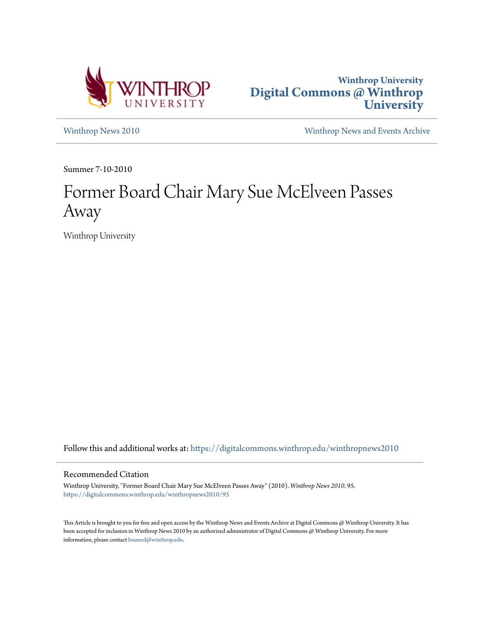



[Winthrop News 2010](https://digitalcommons.winthrop.edu/winthropnews2010?utm_source=digitalcommons.winthrop.edu%2Fwinthropnews2010%2F95&utm_medium=PDF&utm_campaign=PDFCoverPages) [Winthrop News and Events Archive](https://digitalcommons.winthrop.edu/winthropnewsarchives?utm_source=digitalcommons.winthrop.edu%2Fwinthropnews2010%2F95&utm_medium=PDF&utm_campaign=PDFCoverPages)

Summer 7-10-2010

# Former Board Chair Mary Sue McElveen Passes Away

Winthrop University

Follow this and additional works at: [https://digitalcommons.winthrop.edu/winthropnews2010](https://digitalcommons.winthrop.edu/winthropnews2010?utm_source=digitalcommons.winthrop.edu%2Fwinthropnews2010%2F95&utm_medium=PDF&utm_campaign=PDFCoverPages)

#### Recommended Citation

Winthrop University, "Former Board Chair Mary Sue McElveen Passes Away" (2010). *Winthrop News 2010*. 95. [https://digitalcommons.winthrop.edu/winthropnews2010/95](https://digitalcommons.winthrop.edu/winthropnews2010/95?utm_source=digitalcommons.winthrop.edu%2Fwinthropnews2010%2F95&utm_medium=PDF&utm_campaign=PDFCoverPages)

This Article is brought to you for free and open access by the Winthrop News and Events Archive at Digital Commons @ Winthrop University. It has been accepted for inclusion in Winthrop News 2010 by an authorized administrator of Digital Commons @ Winthrop University. For more information, please contact [bramed@winthrop.edu](mailto:bramed@winthrop.edu).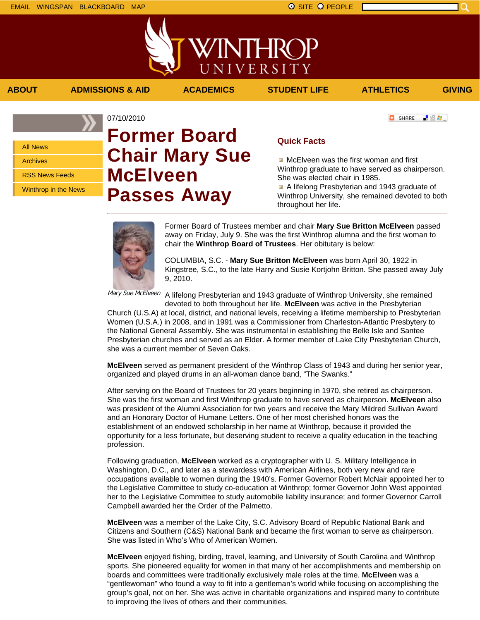All News Archives RSS News Feeds

Winthrop in the News

## 07/10/2010 **Former Board Chair Mary Sue McElveen Passes Away**

### **Quick Facts**

McElveen was the first woman and first Winthrop graduate to have served as chairperson. She was elected chair in 1985.

A lifelong Presbyterian and 1943 graduate of Winthrop University, she remained devoted to both throughout her life.

Former Board of Trustees member and chair **Mary Sue Britton McElveen** passed away on Friday, July 9. She was the first Winthrop alumna and the first woman to chair the **Winthrop Board of Trustees**. Her obitutary is below:

COLUMBIA, S.C. - **Mary Sue Britton McElveen** was born April 30, 1922 in Kingstree, S.C., to the late Harry and Susie Kortjohn Britton. She passed away July 9, 2010.

<sup>Mary Sue McElveen</sup> A lifelong Presbyterian and 1943 graduate of Winthrop University, she remained devoted to both throughout her life. **McElveen** was active in the Presbyterian

Church (U.S.A) at local, district, and national levels, receiving a lifetime membership to Presbyterian Women (U.S.A.) in 2008, and in 1991 was a Commissioner from Charleston-Atlantic Presbytery to the National General Assembly. She was instrumental in establishing the Belle Isle and Santee Presbyterian churches and served as an Elder. A former member of Lake City Presbyterian Church, she was a current member of Seven Oaks.

**McElveen** served as permanent president of the Winthrop Class of 1943 and during her senior year, organized and played drums in an all-woman dance band, "The Swanks."

After serving on the Board of Trustees for 20 years beginning in 1970, she retired as chairperson. She was the first woman and first Winthrop graduate to have served as chairperson. **McElveen** also was president of the Alumni Association for two years and receive the Mary Mildred Sullivan Award and an Honorary Doctor of Humane Letters. One of her most cherished honors was the establishment of an endowed scholarship in her name at Winthrop, because it provided the opportunity for a less fortunate, but deserving student to receive a quality education in the teaching profession.

Following graduation, **McElveen** worked as a cryptographer with U. S. Military Intelligence in Washington, D.C., and later as a stewardess with American Airlines, both very new and rare occupations available to women during the 1940's. Former Governor Robert McNair appointed her to the Legislative Committee to study co-education at Winthrop; former Governor John West appointed her to the Legislative Committee to study automobile liability insurance; and former Governor Carroll Campbell awarded her the Order of the Palmetto.

**McElveen** was a member of the Lake City, S.C. Advisory Board of Republic National Bank and Citizens and Southern (C&S) National Bank and became the first woman to serve as chairperson. She was listed in Who's Who of American Women.

**McElveen** enjoyed fishing, birding, travel, learning, and University of South Carolina and Winthrop sports. She pioneered equality for women in that many of her accomplishments and membership on boards and committees were traditionally exclusively male roles at the time. **McElveen** was a "gentlewoman" who found a way to fit into a gentleman's world while focusing on accomplishing the group's goal, not on her. She was active in charitable organizations and inspired many to contribute to improving the lives of others and their communities.